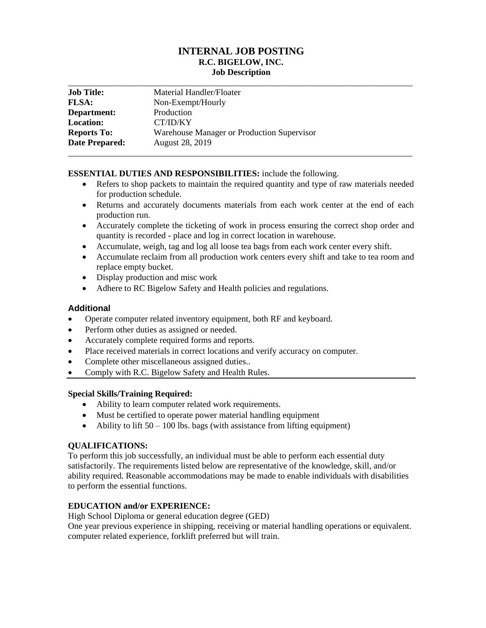# **INTERNAL JOB POSTING R.C. BIGELOW, INC. Job Description** \_\_\_\_\_\_\_\_\_\_\_\_\_\_\_\_\_\_\_\_\_\_\_\_\_\_\_\_\_\_\_\_\_\_\_\_\_\_\_\_\_\_\_\_\_\_\_\_\_\_\_\_\_\_\_\_\_\_\_\_\_\_\_\_\_\_\_\_\_\_\_\_\_\_\_\_\_\_\_

| <b>Job Title:</b>  | Material Handler/Floater                   |
|--------------------|--------------------------------------------|
| <b>FLSA:</b>       | Non-Exempt/Hourly                          |
| Department:        | Production                                 |
| <b>Location:</b>   | CT/ID/KY                                   |
| <b>Reports To:</b> | Warehouse Manager or Production Supervisor |
| Date Prepared:     | August 28, 2019                            |
|                    |                                            |

### **ESSENTIAL DUTIES AND RESPONSIBILITIES:** include the following.

- Refers to shop packets to maintain the required quantity and type of raw materials needed for production schedule.
- Returns and accurately documents materials from each work center at the end of each production run.
- Accurately complete the ticketing of work in process ensuring the correct shop order and quantity is recorded - place and log in correct location in warehouse.
- Accumulate, weigh, tag and log all loose tea bags from each work center every shift.
- Accumulate reclaim from all production work centers every shift and take to tea room and replace empty bucket.
- Display production and misc work
- Adhere to RC Bigelow Safety and Health policies and regulations.

### **Additional**

- Operate computer related inventory equipment, both RF and keyboard.
- Perform other duties as assigned or needed.
- Accurately complete required forms and reports.
- Place received materials in correct locations and verify accuracy on computer.
- Complete other miscellaneous assigned duties..
- Comply with R.C. Bigelow Safety and Health Rules.

### **Special Skills/Training Required:**

- Ability to learn computer related work requirements.
- Must be certified to operate power material handling equipment
- Ability to lift  $50 100$  lbs. bags (with assistance from lifting equipment)

# **QUALIFICATIONS:**

To perform this job successfully, an individual must be able to perform each essential duty satisfactorily. The requirements listed below are representative of the knowledge, skill, and/or ability required. Reasonable accommodations may be made to enable individuals with disabilities to perform the essential functions.

# **EDUCATION and/or EXPERIENCE:**

High School Diploma or general education degree (GED)

One year previous experience in shipping, receiving or material handling operations or equivalent. computer related experience, forklift preferred but will train.